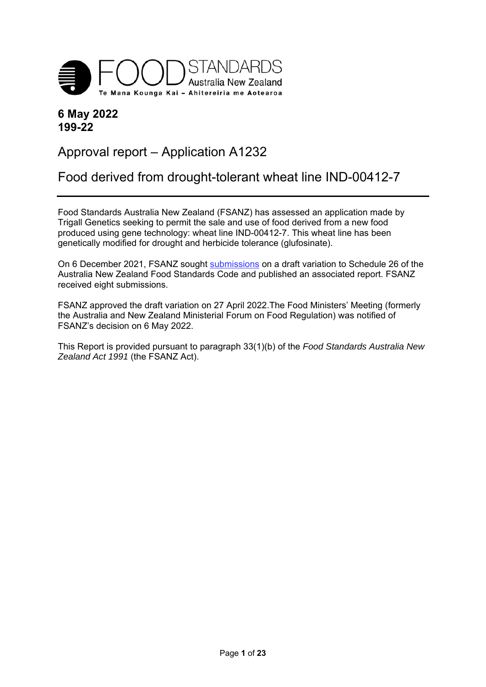

## **6 May 2022 199-22**

# Approval report – Application A1232

# Food derived from drought-tolerant wheat line IND-00412-7

Food Standards Australia New Zealand (FSANZ) has assessed an application made by Trigall Genetics seeking to permit the sale and use of food derived from a new food produced using gene technology: wheat line IND-00412-7. This wheat line has been genetically modified for drought and herbicide tolerance (glufosinate).

On 6 December 2021, FSANZ sought submissions on a draft variation to Schedule 26 of the Australia New Zealand Food Standards Code and published an associated report. FSANZ received eight submissions.

FSANZ approved the draft variation on 27 April 2022.The Food Ministers' Meeting (formerly the Australia and New Zealand Ministerial Forum on Food Regulation) was notified of FSANZ's decision on 6 May 2022.

This Report is provided pursuant to paragraph 33(1)(b) of the *Food Standards Australia New Zealand Act 1991* (the FSANZ Act).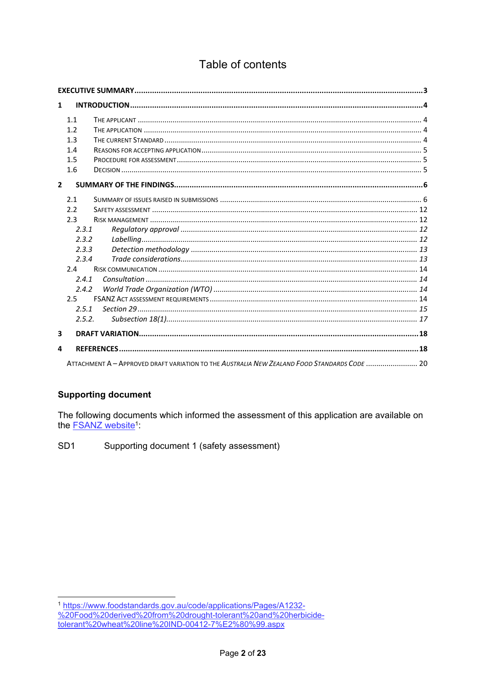# Table of contents

| $\mathbf{1}$   |        |                                                                                              |  |
|----------------|--------|----------------------------------------------------------------------------------------------|--|
| 1.1            |        |                                                                                              |  |
| 1.2            |        |                                                                                              |  |
| 1.3            |        |                                                                                              |  |
| 1.4            |        |                                                                                              |  |
| 1.5            |        |                                                                                              |  |
| 1.6            |        |                                                                                              |  |
| $\overline{2}$ |        |                                                                                              |  |
| 2.1            |        |                                                                                              |  |
| 2.2            |        |                                                                                              |  |
|                | 2.3    |                                                                                              |  |
|                | 2.3.1  |                                                                                              |  |
|                | 2.3.2  |                                                                                              |  |
|                | 2.3.3  |                                                                                              |  |
|                | 2.3.4  |                                                                                              |  |
|                | 2.4    |                                                                                              |  |
|                | 2.4.1  |                                                                                              |  |
|                | 2.4.2  |                                                                                              |  |
|                | 2.5    |                                                                                              |  |
|                | 2.5.1  |                                                                                              |  |
|                | 2.5.2. |                                                                                              |  |
| 3              |        |                                                                                              |  |
| 4              |        |                                                                                              |  |
|                |        | ATTACHMENT A - APPROVED DRAFT VARIATION TO THE AUSTRALIA NEW ZEALAND FOOD STANDARDS CODE  20 |  |

## **Supporting document**

The following documents which informed the assessment of this application are available on the FSANZ website<sup>1</sup>

SD<sub>1</sub> Supporting document 1 (safety assessment)

<sup>1</sup> https://www.foodstandards.gov.au/code/applications/Pages/A1232-%20Food%20derived%20from%20drought-tolerant%20and%20herbicide-<br>tolerant%20wheat%20line%20IND-00412-7%E2%80%99.aspx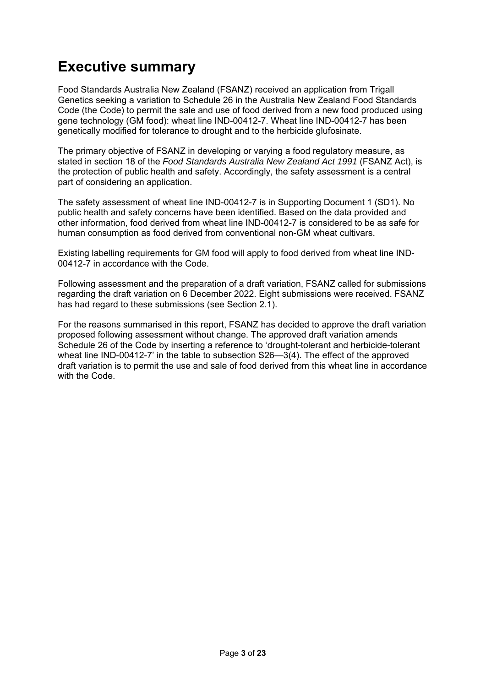# **Executive summary**

Food Standards Australia New Zealand (FSANZ) received an application from Trigall Genetics seeking a variation to Schedule 26 in the Australia New Zealand Food Standards Code (the Code) to permit the sale and use of food derived from a new food produced using gene technology (GM food): wheat line IND-00412-7. Wheat line IND-00412-7 has been genetically modified for tolerance to drought and to the herbicide glufosinate.

The primary objective of FSANZ in developing or varying a food regulatory measure, as stated in section 18 of the *Food Standards Australia New Zealand Act 1991* (FSANZ Act), is the protection of public health and safety. Accordingly, the safety assessment is a central part of considering an application.

The safety assessment of wheat line IND-00412-7 is in Supporting Document 1 (SD1). No public health and safety concerns have been identified. Based on the data provided and other information, food derived from wheat line IND-00412-7 is considered to be as safe for human consumption as food derived from conventional non-GM wheat cultivars.

Existing labelling requirements for GM food will apply to food derived from wheat line IND-00412-7 in accordance with the Code.

Following assessment and the preparation of a draft variation, FSANZ called for submissions regarding the draft variation on 6 December 2022. Eight submissions were received. FSANZ has had regard to these submissions (see Section 2.1).

For the reasons summarised in this report, FSANZ has decided to approve the draft variation proposed following assessment without change. The approved draft variation amends Schedule 26 of the Code by inserting a reference to 'drought-tolerant and herbicide-tolerant wheat line IND-00412-7' in the table to subsection S26—3(4). The effect of the approved draft variation is to permit the use and sale of food derived from this wheat line in accordance with the Code.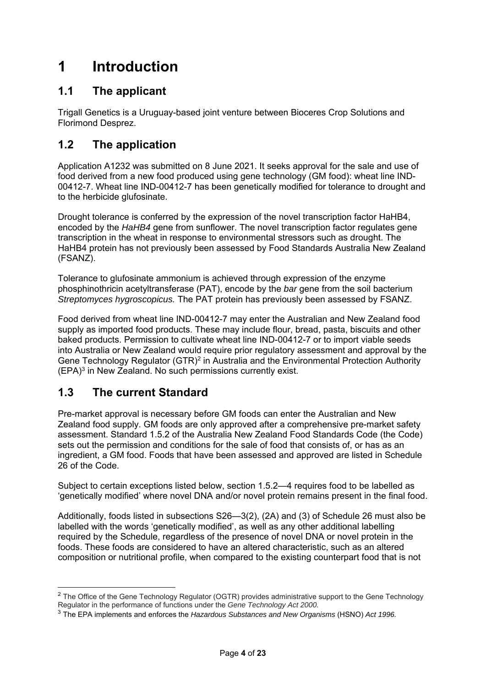# **1 Introduction**

# **1.1 The applicant**

Trigall Genetics is a Uruguay-based joint venture between Bioceres Crop Solutions and Florimond Desprez.

# **1.2 The application**

Application A1232 was submitted on 8 June 2021. It seeks approval for the sale and use of food derived from a new food produced using gene technology (GM food): wheat line IND-00412-7. Wheat line IND-00412-7 has been genetically modified for tolerance to drought and to the herbicide glufosinate.

Drought tolerance is conferred by the expression of the novel transcription factor HaHB4, encoded by the *HaHB4* gene from sunflower. The novel transcription factor regulates gene transcription in the wheat in response to environmental stressors such as drought. The HaHB4 protein has not previously been assessed by Food Standards Australia New Zealand (FSANZ).

Tolerance to glufosinate ammonium is achieved through expression of the enzyme phosphinothricin acetyltransferase (PAT), encode by the *bar* gene from the soil bacterium *Streptomyces hygroscopicus.* The PAT protein has previously been assessed by FSANZ.

Food derived from wheat line IND-00412-7 may enter the Australian and New Zealand food supply as imported food products. These may include flour, bread, pasta, biscuits and other baked products. Permission to cultivate wheat line IND-00412-7 or to import viable seeds into Australia or New Zealand would require prior regulatory assessment and approval by the Gene Technology Regulator (GTR)<sup>2</sup> in Australia and the Environmental Protection Authority (EPA)3 in New Zealand. No such permissions currently exist.

## **1.3 The current Standard**

 $\overline{a}$ 

Pre-market approval is necessary before GM foods can enter the Australian and New Zealand food supply. GM foods are only approved after a comprehensive pre-market safety assessment. Standard 1.5.2 of the Australia New Zealand Food Standards Code (the Code) sets out the permission and conditions for the sale of food that consists of, or has as an ingredient, a GM food. Foods that have been assessed and approved are listed in Schedule 26 of the Code.

Subject to certain exceptions listed below, section 1.5.2—4 requires food to be labelled as 'genetically modified' where novel DNA and/or novel protein remains present in the final food.

Additionally, foods listed in subsections S26—3(2), (2A) and (3) of Schedule 26 must also be labelled with the words 'genetically modified', as well as any other additional labelling required by the Schedule, regardless of the presence of novel DNA or novel protein in the foods. These foods are considered to have an altered characteristic, such as an altered composition or nutritional profile, when compared to the existing counterpart food that is not

 $2$  The Office of the Gene Technology Regulator (OGTR) provides administrative support to the Gene Technology Regulator in the performance of functions under the *Gene Technology Act 2000.*

<sup>3</sup> The EPA implements and enforces the *Hazardous Substances and New Organisms* (HSNO) *Act 1996.*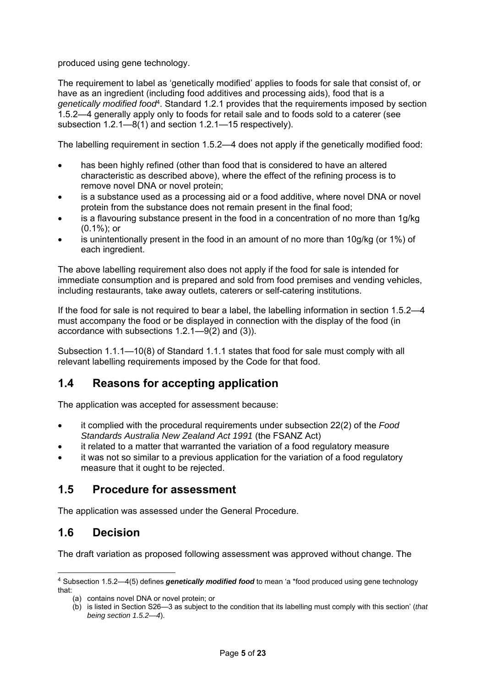produced using gene technology.

The requirement to label as 'genetically modified' applies to foods for sale that consist of, or have as an ingredient (including food additives and processing aids), food that is a *genetically modified food*4. Standard 1.2.1 provides that the requirements imposed by section 1.5.2—4 generally apply only to foods for retail sale and to foods sold to a caterer (see subsection 1.2.1—8(1) and section 1.2.1—15 respectively).

The labelling requirement in section 1.5.2—4 does not apply if the genetically modified food:

- has been highly refined (other than food that is considered to have an altered characteristic as described above), where the effect of the refining process is to remove novel DNA or novel protein;
- is a substance used as a processing aid or a food additive, where novel DNA or novel protein from the substance does not remain present in the final food;
- is a flavouring substance present in the food in a concentration of no more than 1g/kg (0.1%); or
- is unintentionally present in the food in an amount of no more than 10g/kg (or 1%) of each ingredient.

The above labelling requirement also does not apply if the food for sale is intended for immediate consumption and is prepared and sold from food premises and vending vehicles, including restaurants, take away outlets, caterers or self-catering institutions.

If the food for sale is not required to bear a label, the labelling information in section 1.5.2—4 must accompany the food or be displayed in connection with the display of the food (in accordance with subsections 1.2.1—9(2) and (3)).

Subsection 1.1.1—10(8) of Standard 1.1.1 states that food for sale must comply with all relevant labelling requirements imposed by the Code for that food.

## **1.4 Reasons for accepting application**

The application was accepted for assessment because:

- it complied with the procedural requirements under subsection 22(2) of the *Food Standards Australia New Zealand Act 1991* (the FSANZ Act)
- it related to a matter that warranted the variation of a food regulatory measure
- it was not so similar to a previous application for the variation of a food regulatory measure that it ought to be rejected.

## **1.5 Procedure for assessment**

The application was assessed under the General Procedure.

## **1.6 Decision**

-

The draft variation as proposed following assessment was approved without change. The

<sup>4</sup> Subsection 1.5.2—4(5) defines *genetically modified food* to mean 'a \*food produced using gene technology that:

<sup>(</sup>a) contains novel DNA or novel protein; or

<sup>(</sup>b) is listed in Section S26—3 as subject to the condition that its labelling must comply with this section' (*that being section 1.5.2—4*).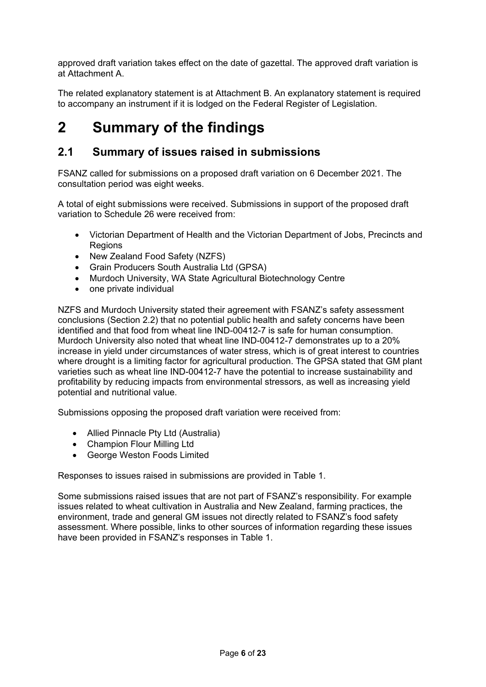approved draft variation takes effect on the date of gazettal. The approved draft variation is at Attachment A.

The related explanatory statement is at Attachment B. An explanatory statement is required to accompany an instrument if it is lodged on the Federal Register of Legislation.

# **2 Summary of the findings**

## **2.1 Summary of issues raised in submissions**

FSANZ called for submissions on a proposed draft variation on 6 December 2021. The consultation period was eight weeks.

A total of eight submissions were received. Submissions in support of the proposed draft variation to Schedule 26 were received from:

- Victorian Department of Health and the Victorian Department of Jobs, Precincts and Regions
- New Zealand Food Safety (NZFS)
- Grain Producers South Australia Ltd (GPSA)
- Murdoch University, WA State Agricultural Biotechnology Centre
- one private individual

NZFS and Murdoch University stated their agreement with FSANZ's safety assessment conclusions (Section 2.2) that no potential public health and safety concerns have been identified and that food from wheat line IND-00412-7 is safe for human consumption. Murdoch University also noted that wheat line IND-00412-7 demonstrates up to a 20% increase in yield under circumstances of water stress, which is of great interest to countries where drought is a limiting factor for agricultural production. The GPSA stated that GM plant varieties such as wheat line IND-00412-7 have the potential to increase sustainability and profitability by reducing impacts from environmental stressors, as well as increasing yield potential and nutritional value.

Submissions opposing the proposed draft variation were received from:

- Allied Pinnacle Pty Ltd (Australia)
- Champion Flour Milling Ltd
- George Weston Foods Limited

Responses to issues raised in submissions are provided in Table 1.

Some submissions raised issues that are not part of FSANZ's responsibility. For example issues related to wheat cultivation in Australia and New Zealand, farming practices, the environment, trade and general GM issues not directly related to FSANZ's food safety assessment. Where possible, links to other sources of information regarding these issues have been provided in FSANZ's responses in Table 1.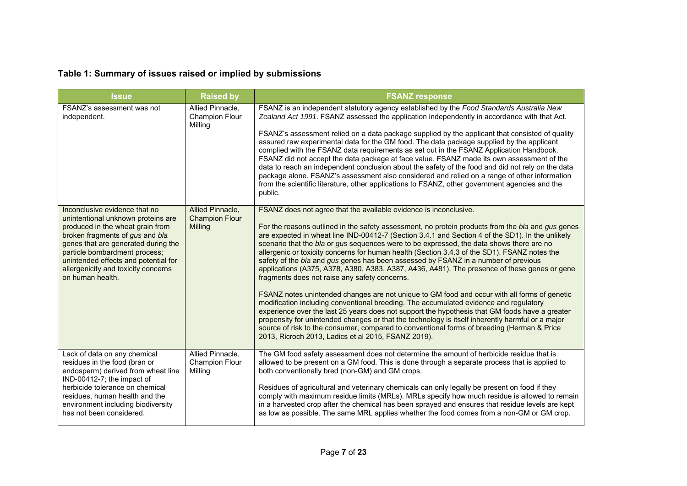# **Table 1: Summary of issues raised or implied by submissions**

| <b>Issue</b>                                                                                                                                                                                                                                                                                                          | <b>Raised by</b>                                     | <b>FSANZ response</b>                                                                                                                                                                                                                                                                                                                                                                                                                                                                                                                                                                                                                                                                                                                                                                                                                                                                                                                                                                                                                                                                                                                                                                                                                                             |  |
|-----------------------------------------------------------------------------------------------------------------------------------------------------------------------------------------------------------------------------------------------------------------------------------------------------------------------|------------------------------------------------------|-------------------------------------------------------------------------------------------------------------------------------------------------------------------------------------------------------------------------------------------------------------------------------------------------------------------------------------------------------------------------------------------------------------------------------------------------------------------------------------------------------------------------------------------------------------------------------------------------------------------------------------------------------------------------------------------------------------------------------------------------------------------------------------------------------------------------------------------------------------------------------------------------------------------------------------------------------------------------------------------------------------------------------------------------------------------------------------------------------------------------------------------------------------------------------------------------------------------------------------------------------------------|--|
| FSANZ's assessment was not<br>independent.                                                                                                                                                                                                                                                                            | Allied Pinnacle,<br><b>Champion Flour</b><br>Milling | FSANZ is an independent statutory agency established by the Food Standards Australia New<br>Zealand Act 1991. FSANZ assessed the application independently in accordance with that Act.<br>FSANZ's assessment relied on a data package supplied by the applicant that consisted of quality<br>assured raw experimental data for the GM food. The data package supplied by the applicant<br>complied with the FSANZ data requirements as set out in the FSANZ Application Handbook.<br>FSANZ did not accept the data package at face value. FSANZ made its own assessment of the<br>data to reach an independent conclusion about the safety of the food and did not rely on the data<br>package alone. FSANZ's assessment also considered and relied on a range of other information<br>from the scientific literature, other applications to FSANZ, other government agencies and the<br>public.                                                                                                                                                                                                                                                                                                                                                                 |  |
| Inconclusive evidence that no<br>unintentional unknown proteins are<br>produced in the wheat grain from<br>broken fragments of gus and bla<br>genes that are generated during the<br>particle bombardment process;<br>unintended effects and potential for<br>allergenicity and toxicity concerns<br>on human health. | Allied Pinnacle,<br><b>Champion Flour</b><br>Milling | FSANZ does not agree that the available evidence is inconclusive.<br>For the reasons outlined in the safety assessment, no protein products from the bla and gus genes<br>are expected in wheat line IND-00412-7 (Section 3.4.1 and Section 4 of the SD1). In the unlikely<br>scenario that the bla or gus sequences were to be expressed, the data shows there are no<br>allergenic or toxicity concerns for human health (Section 3.4.3 of the SD1). FSANZ notes the<br>safety of the bla and gus genes has been assessed by FSANZ in a number of previous<br>applications (A375, A378, A380, A383, A387, A436, A481). The presence of these genes or gene<br>fragments does not raise any safety concerns.<br>FSANZ notes unintended changes are not unique to GM food and occur with all forms of genetic<br>modification including conventional breeding. The accumulated evidence and regulatory<br>experience over the last 25 years does not support the hypothesis that GM foods have a greater<br>propensity for unintended changes or that the technology is itself inherently harmful or a major<br>source of risk to the consumer, compared to conventional forms of breeding (Herman & Price<br>2013, Ricroch 2013, Ladics et al 2015, FSANZ 2019). |  |
| Lack of data on any chemical<br>residues in the food (bran or<br>endosperm) derived from wheat line<br>IND-00412-7; the impact of<br>herbicide tolerance on chemical<br>residues, human health and the<br>environment including biodiversity<br>has not been considered.                                              | Allied Pinnacle,<br><b>Champion Flour</b><br>Milling | The GM food safety assessment does not determine the amount of herbicide residue that is<br>allowed to be present on a GM food. This is done through a separate process that is applied to<br>both conventionally bred (non-GM) and GM crops.<br>Residues of agricultural and veterinary chemicals can only legally be present on food if they<br>comply with maximum residue limits (MRLs). MRLs specify how much residue is allowed to remain<br>in a harvested crop after the chemical has been sprayed and ensures that residue levels are kept<br>as low as possible. The same MRL applies whether the food comes from a non-GM or GM crop.                                                                                                                                                                                                                                                                                                                                                                                                                                                                                                                                                                                                                  |  |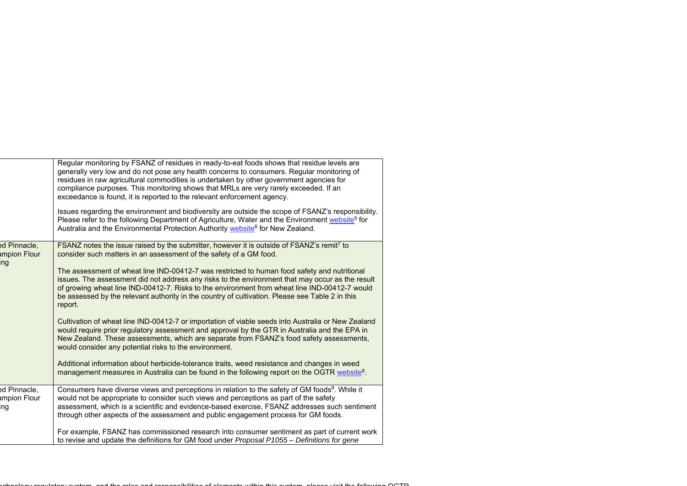|                                            | Regular monitoring by FSANZ of residues in ready-to-eat foods shows that residue levels are<br>generally very low and do not pose any health concerns to consumers. Regular monitoring of<br>residues in raw agricultural commodities is undertaken by other government agencies for<br>compliance purposes. This monitoring shows that MRLs are very rarely exceeded. If an<br>exceedance is found, it is reported to the relevant enforcement agency.<br>Issues regarding the environment and biodiversity are outside the scope of FSANZ's responsibility.<br>Please refer to the following Department of Agriculture, Water and the Environment website <sup>5</sup> for<br>Australia and the Environmental Protection Authority website <sup>6</sup> for New Zealand. |
|--------------------------------------------|----------------------------------------------------------------------------------------------------------------------------------------------------------------------------------------------------------------------------------------------------------------------------------------------------------------------------------------------------------------------------------------------------------------------------------------------------------------------------------------------------------------------------------------------------------------------------------------------------------------------------------------------------------------------------------------------------------------------------------------------------------------------------|
| ed Pinnacle,<br>mpion Flour<br>ing         | FSANZ notes the issue raised by the submitter, however it is outside of FSANZ's remit7 to<br>consider such matters in an assessment of the safety of a GM food.<br>The assessment of wheat line IND-00412-7 was restricted to human food safety and nutritional<br>issues. The assessment did not address any risks to the environment that may occur as the result<br>of growing wheat line IND-00412-7. Risks to the environment from wheat line IND-00412-7 would<br>be assessed by the relevant authority in the country of cultivation. Please see Table 2 in this<br>report.<br>Cultivation of wheat line IND-00412-7 or importation of viable seeds into Australia or New Zealand                                                                                   |
|                                            | would require prior regulatory assessment and approval by the GTR in Australia and the EPA in<br>New Zealand. These assessments, which are separate from FSANZ's food safety assessments,<br>would consider any potential risks to the environment.<br>Additional information about herbicide-tolerance traits, weed resistance and changes in weed<br>management measures in Australia can be found in the following report on the OGTR website <sup>8</sup> .                                                                                                                                                                                                                                                                                                            |
| ed Pinnacle,<br><b>Impion Flour</b><br>ing | Consumers have diverse views and perceptions in relation to the safety of GM foods <sup>9</sup> . While it<br>would not be appropriate to consider such views and perceptions as part of the safety<br>assessment, which is a scientific and evidence-based exercise, FSANZ addresses such sentiment<br>through other aspects of the assessment and public engagement process for GM foods.<br>For example, FSANZ has commissioned research into consumer sentiment as part of current work                                                                                                                                                                                                                                                                                |
|                                            | to revise and update the definitions for GM food under Proposal P1055 - Definitions for gene                                                                                                                                                                                                                                                                                                                                                                                                                                                                                                                                                                                                                                                                               |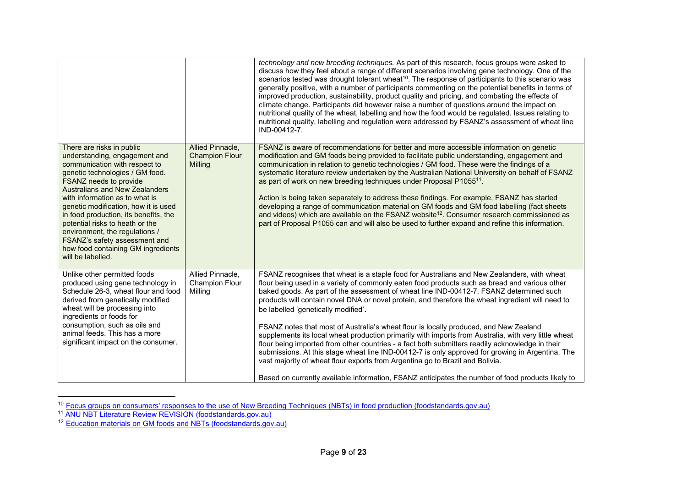|                                                                                                                                                                                                                                                                                                                                                                                                                                                                                       |                                                      | technology and new breeding techniques. As part of this research, focus groups were asked to<br>discuss how they feel about a range of different scenarios involving gene technology. One of the<br>scenarios tested was drought tolerant wheat <sup>10</sup> . The response of participants to this scenario was<br>generally positive, with a number of participants commenting on the potential benefits in terms of<br>improved production, sustainability, product quality and pricing, and combating the effects of<br>climate change. Participants did however raise a number of questions around the impact on<br>nutritional quality of the wheat, labelling and how the food would be regulated. Issues relating to<br>nutritional quality, labelling and regulation were addressed by FSANZ's assessment of wheat line<br>IND-00412-7.                                                                                                                                                                                 |
|---------------------------------------------------------------------------------------------------------------------------------------------------------------------------------------------------------------------------------------------------------------------------------------------------------------------------------------------------------------------------------------------------------------------------------------------------------------------------------------|------------------------------------------------------|-----------------------------------------------------------------------------------------------------------------------------------------------------------------------------------------------------------------------------------------------------------------------------------------------------------------------------------------------------------------------------------------------------------------------------------------------------------------------------------------------------------------------------------------------------------------------------------------------------------------------------------------------------------------------------------------------------------------------------------------------------------------------------------------------------------------------------------------------------------------------------------------------------------------------------------------------------------------------------------------------------------------------------------|
| There are risks in public<br>understanding, engagement and<br>communication with respect to<br>genetic technologies / GM food.<br>FSANZ needs to provide<br><b>Australians and New Zealanders</b><br>with information as to what is<br>genetic modification, how it is used<br>in food production, its benefits, the<br>potential risks to heath or the<br>environment, the regulations /<br>FSANZ's safety assessment and<br>how food containing GM ingredients<br>will be labelled. | Allied Pinnacle,<br><b>Champion Flour</b><br>Milling | FSANZ is aware of recommendations for better and more accessible information on genetic<br>modification and GM foods being provided to facilitate public understanding, engagement and<br>communication in relation to genetic technologies / GM food. These were the findings of a<br>systematic literature review undertaken by the Australian National University on behalf of FSANZ<br>as part of work on new breeding techniques under Proposal P1055 <sup>11</sup> .<br>Action is being taken separately to address these findings. For example, FSANZ has started<br>developing a range of communication material on GM foods and GM food labelling (fact sheets<br>and videos) which are available on the FSANZ website <sup>12</sup> . Consumer research commissioned as<br>part of Proposal P1055 can and will also be used to further expand and refine this information.                                                                                                                                              |
| Unlike other permitted foods<br>produced using gene technology in<br>Schedule 26-3, wheat flour and food<br>derived from genetically modified<br>wheat will be processing into<br>ingredients or foods for<br>consumption, such as oils and<br>animal feeds. This has a more<br>significant impact on the consumer.                                                                                                                                                                   | Allied Pinnacle,<br><b>Champion Flour</b><br>Milling | FSANZ recognises that wheat is a staple food for Australians and New Zealanders, with wheat<br>flour being used in a variety of commonly eaten food products such as bread and various other<br>baked goods. As part of the assessment of wheat line IND-00412-7, FSANZ determined such<br>products will contain novel DNA or novel protein, and therefore the wheat ingredient will need to<br>be labelled 'genetically modified'.<br>FSANZ notes that most of Australia's wheat flour is locally produced, and New Zealand<br>supplements its local wheat production primarily with imports from Australia, with very little wheat<br>flour being imported from other countries - a fact both submitters readily acknowledge in their<br>submissions. At this stage wheat line IND-00412-7 is only approved for growing in Argentina. The<br>vast majority of wheat flour exports from Argentina go to Brazil and Bolivia.<br>Based on currently available information, FSANZ anticipates the number of food products likely to |

<sup>&</sup>lt;sup>10</sup> <u>Focus groups on consumers' responses to the use of New Breeding Techniques (NBTs) in food production (foodstandards.gov.au)<br><sup>11</sup> <u>ANU NBT Literature Review REVISION (foodstandards.gov.au)</u><br><sup>12</sup> Education materials on</u>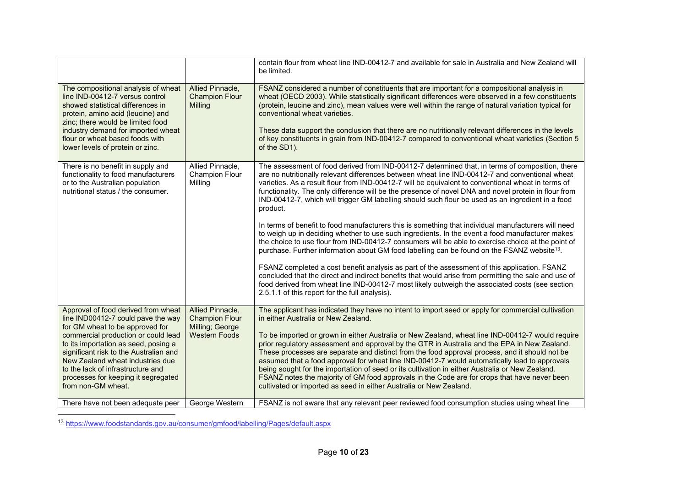|                                                                                                                                                                                                                                                                                                                                                                             |                                                                                      | contain flour from wheat line IND-00412-7 and available for sale in Australia and New Zealand will<br>be limited.                                                                                                                                                                                                                                                                                                                                                                                                                                                                                                                                                                                                                                                                                                                                                                                                                                                                                                                                                                                                                                                                                                                                                                                                         |
|-----------------------------------------------------------------------------------------------------------------------------------------------------------------------------------------------------------------------------------------------------------------------------------------------------------------------------------------------------------------------------|--------------------------------------------------------------------------------------|---------------------------------------------------------------------------------------------------------------------------------------------------------------------------------------------------------------------------------------------------------------------------------------------------------------------------------------------------------------------------------------------------------------------------------------------------------------------------------------------------------------------------------------------------------------------------------------------------------------------------------------------------------------------------------------------------------------------------------------------------------------------------------------------------------------------------------------------------------------------------------------------------------------------------------------------------------------------------------------------------------------------------------------------------------------------------------------------------------------------------------------------------------------------------------------------------------------------------------------------------------------------------------------------------------------------------|
| The compositional analysis of wheat<br>line IND-00412-7 versus control<br>showed statistical differences in<br>protein, amino acid (leucine) and<br>zinc; there would be limited food<br>industry demand for imported wheat<br>flour or wheat based foods with<br>lower levels of protein or zinc.                                                                          | Allied Pinnacle,<br><b>Champion Flour</b><br>Milling                                 | FSANZ considered a number of constituents that are important for a compositional analysis in<br>wheat (OECD 2003). While statistically significant differences were observed in a few constituents<br>(protein, leucine and zinc), mean values were well within the range of natural variation typical for<br>conventional wheat varieties.<br>These data support the conclusion that there are no nutritionally relevant differences in the levels<br>of key constituents in grain from IND-00412-7 compared to conventional wheat varieties (Section 5<br>of the SD1).                                                                                                                                                                                                                                                                                                                                                                                                                                                                                                                                                                                                                                                                                                                                                  |
| There is no benefit in supply and<br>functionality to food manufacturers<br>or to the Australian population<br>nutritional status / the consumer.                                                                                                                                                                                                                           | Allied Pinnacle,<br><b>Champion Flour</b><br>Milling                                 | The assessment of food derived from IND-00412-7 determined that, in terms of composition, there<br>are no nutritionally relevant differences between wheat line IND-00412-7 and conventional wheat<br>varieties. As a result flour from IND-00412-7 will be equivalent to conventional wheat in terms of<br>functionality. The only difference will be the presence of novel DNA and novel protein in flour from<br>IND-00412-7, which will trigger GM labelling should such flour be used as an ingredient in a food<br>product.<br>In terms of benefit to food manufacturers this is something that individual manufacturers will need<br>to weigh up in deciding whether to use such ingredients. In the event a food manufacturer makes<br>the choice to use flour from IND-00412-7 consumers will be able to exercise choice at the point of<br>purchase. Further information about GM food labelling can be found on the FSANZ website <sup>13</sup> .<br>FSANZ completed a cost benefit analysis as part of the assessment of this application. FSANZ<br>concluded that the direct and indirect benefits that would arise from permitting the sale and use of<br>food derived from wheat line IND-00412-7 most likely outweigh the associated costs (see section<br>2.5.1.1 of this report for the full analysis). |
| Approval of food derived from wheat<br>line IND00412-7 could pave the way<br>for GM wheat to be approved for<br>commercial production or could lead<br>to its importation as seed, posing a<br>significant risk to the Australian and<br>New Zealand wheat industries due<br>to the lack of infrastructure and<br>processes for keeping it segregated<br>from non-GM wheat. | Allied Pinnacle,<br><b>Champion Flour</b><br>Milling; George<br><b>Western Foods</b> | The applicant has indicated they have no intent to import seed or apply for commercial cultivation<br>in either Australia or New Zealand.<br>To be imported or grown in either Australia or New Zealand, wheat line IND-00412-7 would require<br>prior regulatory assessment and approval by the GTR in Australia and the EPA in New Zealand.<br>These processes are separate and distinct from the food approval process, and it should not be<br>assumed that a food approval for wheat line IND-00412-7 would automatically lead to approvals<br>being sought for the importation of seed or its cultivation in either Australia or New Zealand.<br>FSANZ notes the majority of GM food approvals in the Code are for crops that have never been<br>cultivated or imported as seed in either Australia or New Zealand.                                                                                                                                                                                                                                                                                                                                                                                                                                                                                                 |
| There have not been adequate peer                                                                                                                                                                                                                                                                                                                                           | George Western                                                                       | FSANZ is not aware that any relevant peer reviewed food consumption studies using wheat line                                                                                                                                                                                                                                                                                                                                                                                                                                                                                                                                                                                                                                                                                                                                                                                                                                                                                                                                                                                                                                                                                                                                                                                                                              |

<sup>13</sup> https://www.foodstandards.gov.au/consumer/gmfood/labelling/Pages/default.aspx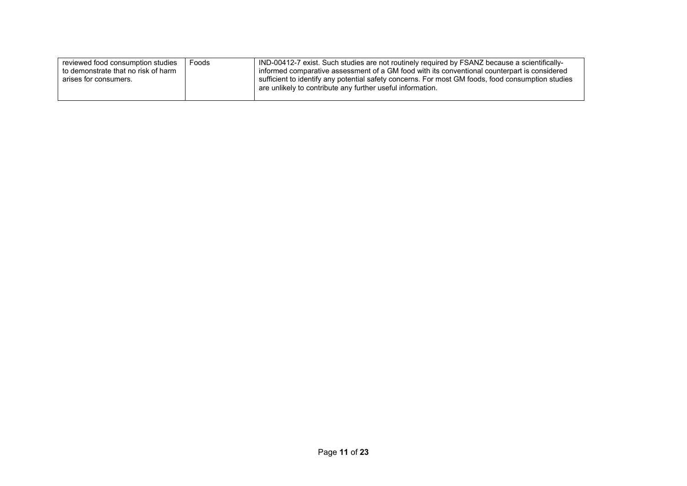| reviewed food consumption studies<br>to demonstrate that no risk of harm<br>arises for consumers. | Foods | IND-00412-7 exist. Such studies are not routinely required by FSANZ because a scientifically-<br>informed comparative assessment of a GM food with its conventional counterpart is considered<br>sufficient to identify any potential safety concerns. For most GM foods, food consumption studies |
|---------------------------------------------------------------------------------------------------|-------|----------------------------------------------------------------------------------------------------------------------------------------------------------------------------------------------------------------------------------------------------------------------------------------------------|
|                                                                                                   |       | are unlikely to contribute any further useful information.                                                                                                                                                                                                                                         |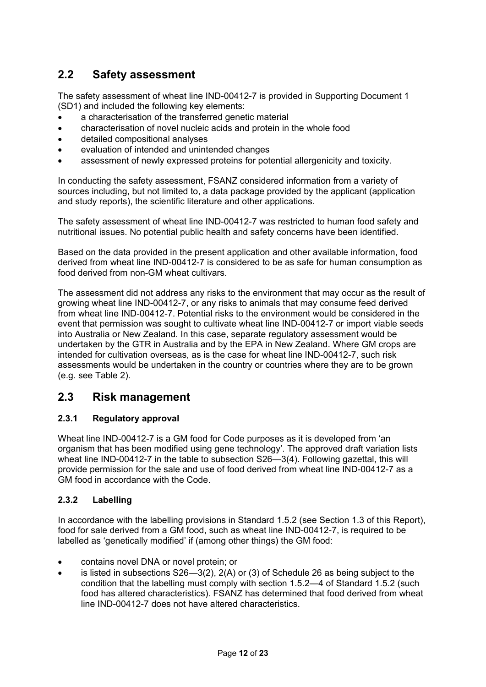# **2.2 Safety assessment**

The safety assessment of wheat line IND-00412-7 is provided in Supporting Document 1 (SD1) and included the following key elements:

- a characterisation of the transferred genetic material
- characterisation of novel nucleic acids and protein in the whole food
- detailed compositional analyses
- evaluation of intended and unintended changes
- assessment of newly expressed proteins for potential allergenicity and toxicity.

In conducting the safety assessment, FSANZ considered information from a variety of sources including, but not limited to, a data package provided by the applicant (application and study reports), the scientific literature and other applications.

The safety assessment of wheat line IND-00412-7 was restricted to human food safety and nutritional issues. No potential public health and safety concerns have been identified.

Based on the data provided in the present application and other available information, food derived from wheat line IND-00412-7 is considered to be as safe for human consumption as food derived from non-GM wheat cultivars.

The assessment did not address any risks to the environment that may occur as the result of growing wheat line IND-00412-7, or any risks to animals that may consume feed derived from wheat line IND-00412-7. Potential risks to the environment would be considered in the event that permission was sought to cultivate wheat line IND-00412-7 or import viable seeds into Australia or New Zealand. In this case, separate regulatory assessment would be undertaken by the GTR in Australia and by the EPA in New Zealand. Where GM crops are intended for cultivation overseas, as is the case for wheat line IND-00412-7, such risk assessments would be undertaken in the country or countries where they are to be grown (e.g. see Table 2).

## **2.3 Risk management**

## **2.3.1 Regulatory approval**

Wheat line IND-00412-7 is a GM food for Code purposes as it is developed from 'an organism that has been modified using gene technology'. The approved draft variation lists wheat line IND-00412-7 in the table to subsection S26—3(4). Following gazettal, this will provide permission for the sale and use of food derived from wheat line IND-00412-7 as a GM food in accordance with the Code.

#### **2.3.2 Labelling**

In accordance with the labelling provisions in Standard 1.5.2 (see Section 1.3 of this Report), food for sale derived from a GM food, such as wheat line IND-00412-7, is required to be labelled as 'genetically modified' if (among other things) the GM food:

- contains novel DNA or novel protein; or
- $\bullet$  is listed in subsections S26—3(2), 2(A) or (3) of Schedule 26 as being subject to the condition that the labelling must comply with section 1.5.2—4 of Standard 1.5.2 (such food has altered characteristics). FSANZ has determined that food derived from wheat line IND-00412-7 does not have altered characteristics.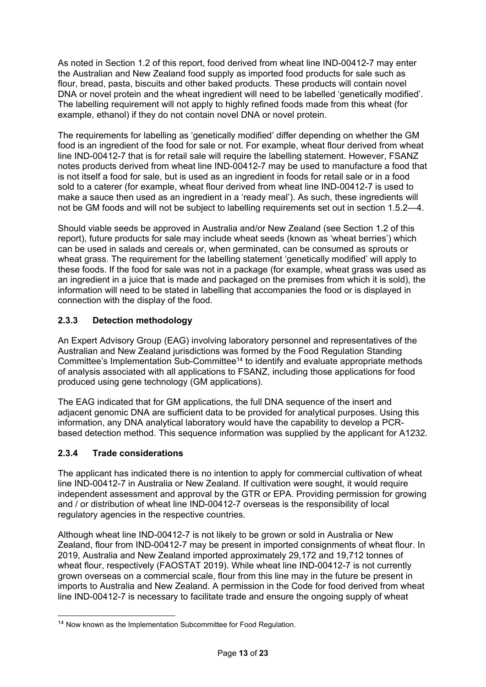As noted in Section 1.2 of this report, food derived from wheat line IND-00412-7 may enter the Australian and New Zealand food supply as imported food products for sale such as flour, bread, pasta, biscuits and other baked products. These products will contain novel DNA or novel protein and the wheat ingredient will need to be labelled 'genetically modified'. The labelling requirement will not apply to highly refined foods made from this wheat (for example, ethanol) if they do not contain novel DNA or novel protein.

The requirements for labelling as 'genetically modified' differ depending on whether the GM food is an ingredient of the food for sale or not. For example, wheat flour derived from wheat line IND-00412-7 that is for retail sale will require the labelling statement. However, FSANZ notes products derived from wheat line IND-00412-7 may be used to manufacture a food that is not itself a food for sale, but is used as an ingredient in foods for retail sale or in a food sold to a caterer (for example, wheat flour derived from wheat line IND-00412-7 is used to make a sauce then used as an ingredient in a 'ready meal'). As such, these ingredients will not be GM foods and will not be subject to labelling requirements set out in section 1.5.2—4.

Should viable seeds be approved in Australia and/or New Zealand (see Section 1.2 of this report), future products for sale may include wheat seeds (known as 'wheat berries') which can be used in salads and cereals or, when germinated, can be consumed as sprouts or wheat grass. The requirement for the labelling statement 'genetically modified' will apply to these foods. If the food for sale was not in a package (for example, wheat grass was used as an ingredient in a juice that is made and packaged on the premises from which it is sold), the information will need to be stated in labelling that accompanies the food or is displayed in connection with the display of the food.

## **2.3.3 Detection methodology**

An Expert Advisory Group (EAG) involving laboratory personnel and representatives of the Australian and New Zealand jurisdictions was formed by the Food Regulation Standing Committee's Implementation Sub-Committee14 to identify and evaluate appropriate methods of analysis associated with all applications to FSANZ, including those applications for food produced using gene technology (GM applications).

The EAG indicated that for GM applications, the full DNA sequence of the insert and adjacent genomic DNA are sufficient data to be provided for analytical purposes. Using this information, any DNA analytical laboratory would have the capability to develop a PCRbased detection method. This sequence information was supplied by the applicant for A1232.

## **2.3.4 Trade considerations**

-

The applicant has indicated there is no intention to apply for commercial cultivation of wheat line IND-00412-7 in Australia or New Zealand. If cultivation were sought, it would require independent assessment and approval by the GTR or EPA. Providing permission for growing and / or distribution of wheat line IND-00412-7 overseas is the responsibility of local regulatory agencies in the respective countries.

Although wheat line IND-00412-7 is not likely to be grown or sold in Australia or New Zealand, flour from IND-00412-7 may be present in imported consignments of wheat flour. In 2019, Australia and New Zealand imported approximately 29,172 and 19,712 tonnes of wheat flour, respectively (FAOSTAT 2019). While wheat line IND-00412-7 is not currently grown overseas on a commercial scale, flour from this line may in the future be present in imports to Australia and New Zealand. A permission in the Code for food derived from wheat line IND-00412-7 is necessary to facilitate trade and ensure the ongoing supply of wheat

<sup>&</sup>lt;sup>14</sup> Now known as the Implementation Subcommittee for Food Regulation.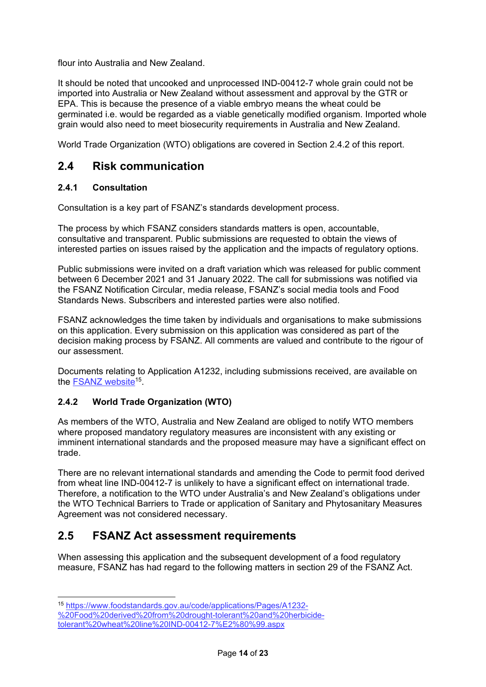flour into Australia and New Zealand.

It should be noted that uncooked and unprocessed IND-00412-7 whole grain could not be imported into Australia or New Zealand without assessment and approval by the GTR or EPA. This is because the presence of a viable embryo means the wheat could be germinated i.e. would be regarded as a viable genetically modified organism. Imported whole grain would also need to meet biosecurity requirements in Australia and New Zealand.

World Trade Organization (WTO) obligations are covered in Section 2.4.2 of this report.

## **2.4 Risk communication**

## **2.4.1 Consultation**

Consultation is a key part of FSANZ's standards development process.

The process by which FSANZ considers standards matters is open, accountable, consultative and transparent. Public submissions are requested to obtain the views of interested parties on issues raised by the application and the impacts of regulatory options.

Public submissions were invited on a draft variation which was released for public comment between 6 December 2021 and 31 January 2022. The call for submissions was notified via the FSANZ Notification Circular, media release, FSANZ's social media tools and Food Standards News. Subscribers and interested parties were also notified.

FSANZ acknowledges the time taken by individuals and organisations to make submissions on this application. Every submission on this application was considered as part of the decision making process by FSANZ. All comments are valued and contribute to the rigour of our assessment.

Documents relating to Application A1232, including submissions received, are available on the FSANZ website<sup>15</sup>.

## **2.4.2 World Trade Organization (WTO)**

As members of the WTO, Australia and New Zealand are obliged to notify WTO members where proposed mandatory regulatory measures are inconsistent with any existing or imminent international standards and the proposed measure may have a significant effect on trade.

There are no relevant international standards and amending the Code to permit food derived from wheat line IND-00412-7 is unlikely to have a significant effect on international trade. Therefore, a notification to the WTO under Australia's and New Zealand's obligations under the WTO Technical Barriers to Trade or application of Sanitary and Phytosanitary Measures Agreement was not considered necessary.

## **2.5 FSANZ Act assessment requirements**

When assessing this application and the subsequent development of a food regulatory measure, FSANZ has had regard to the following matters in section 29 of the FSANZ Act.

-

<sup>15</sup> https://www.foodstandards.gov.au/code/applications/Pages/A1232-

<sup>%20</sup>Food%20derived%20from%20drought-tolerant%20and%20herbicide-

tolerant%20wheat%20line%20IND-00412-7%E2%80%99.aspx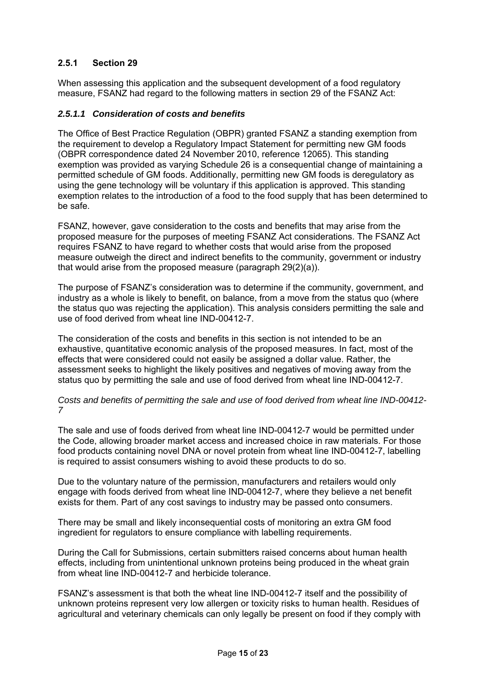## **2.5.1 Section 29**

When assessing this application and the subsequent development of a food regulatory measure, FSANZ had regard to the following matters in section 29 of the FSANZ Act:

#### *2.5.1.1 Consideration of costs and benefits*

The Office of Best Practice Regulation (OBPR) granted FSANZ a standing exemption from the requirement to develop a Regulatory Impact Statement for permitting new GM foods (OBPR correspondence dated 24 November 2010, reference 12065). This standing exemption was provided as varying Schedule 26 is a consequential change of maintaining a permitted schedule of GM foods. Additionally, permitting new GM foods is deregulatory as using the gene technology will be voluntary if this application is approved. This standing exemption relates to the introduction of a food to the food supply that has been determined to be safe.

FSANZ, however, gave consideration to the costs and benefits that may arise from the proposed measure for the purposes of meeting FSANZ Act considerations. The FSANZ Act requires FSANZ to have regard to whether costs that would arise from the proposed measure outweigh the direct and indirect benefits to the community, government or industry that would arise from the proposed measure (paragraph 29(2)(a)).

The purpose of FSANZ's consideration was to determine if the community, government, and industry as a whole is likely to benefit, on balance, from a move from the status quo (where the status quo was rejecting the application). This analysis considers permitting the sale and use of food derived from wheat line IND-00412-7.

The consideration of the costs and benefits in this section is not intended to be an exhaustive, quantitative economic analysis of the proposed measures. In fact, most of the effects that were considered could not easily be assigned a dollar value. Rather, the assessment seeks to highlight the likely positives and negatives of moving away from the status quo by permitting the sale and use of food derived from wheat line IND-00412-7.

*Costs and benefits of permitting the sale and use of food derived from wheat line IND-00412- 7*

The sale and use of foods derived from wheat line IND-00412-7 would be permitted under the Code, allowing broader market access and increased choice in raw materials. For those food products containing novel DNA or novel protein from wheat line IND-00412-7, labelling is required to assist consumers wishing to avoid these products to do so.

Due to the voluntary nature of the permission, manufacturers and retailers would only engage with foods derived from wheat line IND-00412-7, where they believe a net benefit exists for them. Part of any cost savings to industry may be passed onto consumers.

There may be small and likely inconsequential costs of monitoring an extra GM food ingredient for regulators to ensure compliance with labelling requirements.

During the Call for Submissions, certain submitters raised concerns about human health effects, including from unintentional unknown proteins being produced in the wheat grain from wheat line IND-00412-7 and herbicide tolerance.

FSANZ's assessment is that both the wheat line IND-00412-7 itself and the possibility of unknown proteins represent very low allergen or toxicity risks to human health. Residues of agricultural and veterinary chemicals can only legally be present on food if they comply with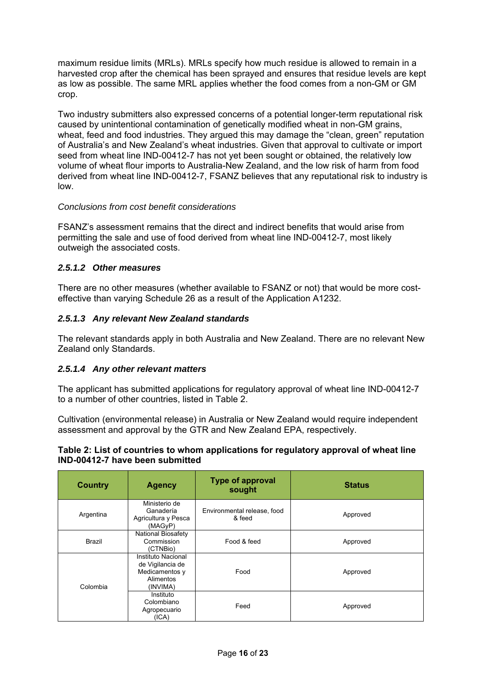maximum residue limits (MRLs). MRLs specify how much residue is allowed to remain in a harvested crop after the chemical has been sprayed and ensures that residue levels are kept as low as possible. The same MRL applies whether the food comes from a non-GM or GM crop.

Two industry submitters also expressed concerns of a potential longer-term reputational risk caused by unintentional contamination of genetically modified wheat in non-GM grains, wheat, feed and food industries. They argued this may damage the "clean, green" reputation of Australia's and New Zealand's wheat industries. Given that approval to cultivate or import seed from wheat line IND-00412-7 has not yet been sought or obtained, the relatively low volume of wheat flour imports to Australia-New Zealand, and the low risk of harm from food derived from wheat line IND-00412-7, FSANZ believes that any reputational risk to industry is low.

#### *Conclusions from cost benefit considerations*

FSANZ's assessment remains that the direct and indirect benefits that would arise from permitting the sale and use of food derived from wheat line IND-00412-7, most likely outweigh the associated costs.

#### *2.5.1.2 Other measures*

There are no other measures (whether available to FSANZ or not) that would be more costeffective than varying Schedule 26 as a result of the Application A1232.

### *2.5.1.3 Any relevant New Zealand standards*

The relevant standards apply in both Australia and New Zealand. There are no relevant New Zealand only Standards.

#### *2.5.1.4 Any other relevant matters*

The applicant has submitted applications for regulatory approval of wheat line IND-00412-7 to a number of other countries, listed in Table 2.

Cultivation (environmental release) in Australia or New Zealand would require independent assessment and approval by the GTR and New Zealand EPA, respectively.

#### **Table 2: List of countries to whom applications for regulatory approval of wheat line IND-00412-7 have been submitted**

| <b>Country</b> | <b>Agency</b>                                                                     | <b>Type of approval</b><br>sought     | <b>Status</b> |
|----------------|-----------------------------------------------------------------------------------|---------------------------------------|---------------|
| Argentina      | Ministerio de<br>Ganadería<br>Agricultura y Pesca<br>(MAGyP)                      | Environmental release, food<br>& feed | Approved      |
| <b>Brazil</b>  | <b>National Biosafety</b><br>Commission<br>(CTNBio)                               | Food & feed                           | Approved      |
| Colombia       | Instituto Nacional<br>de Vigilancia de<br>Medicamentos y<br>Alimentos<br>(INVIMA) | Food                                  | Approved      |
|                | Instituto<br>Colombiano<br>Agropecuario<br>(ICA)                                  | Feed                                  | Approved      |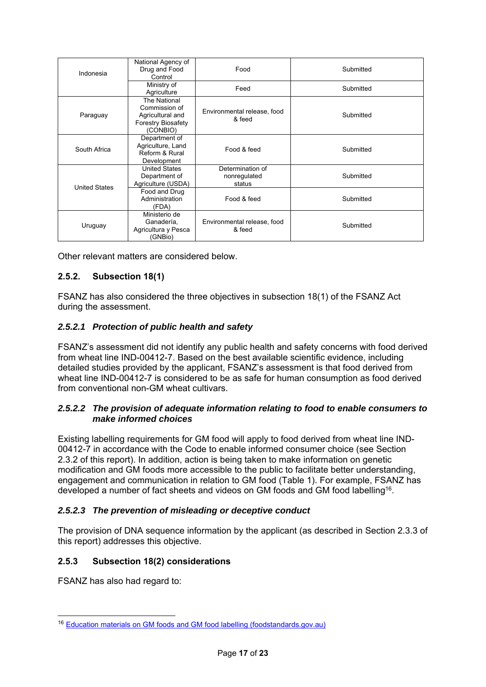| Indonesia            | National Agency of<br>Drug and Food<br>Control                                             | Food                                       | Submitted |
|----------------------|--------------------------------------------------------------------------------------------|--------------------------------------------|-----------|
|                      | Ministry of<br>Agriculture                                                                 | Feed                                       | Submitted |
| Paraguay             | The National<br>Commission of<br>Agricultural and<br><b>Forestry Biosafety</b><br>(CONBIO) | Environmental release, food<br>& feed      | Submitted |
| South Africa         | Department of<br>Agriculture, Land<br>Reform & Rural<br>Development                        | Food & feed                                | Submitted |
| <b>United States</b> | <b>United States</b><br>Department of<br>Agriculture (USDA)                                | Determination of<br>nonregulated<br>status | Submitted |
|                      | Food and Drug<br>Administration<br>(FDA)                                                   | Food & feed                                | Submitted |
| Uruguay              | Ministerio de<br>Ganadería,<br>Agricultura y Pesca<br>(GNBio)                              | Environmental release, food<br>& feed      | Submitted |

Other relevant matters are considered below.

## **2.5.2. Subsection 18(1)**

FSANZ has also considered the three objectives in subsection 18(1) of the FSANZ Act during the assessment.

### *2.5.2.1 Protection of public health and safety*

FSANZ's assessment did not identify any public health and safety concerns with food derived from wheat line IND-00412-7. Based on the best available scientific evidence, including detailed studies provided by the applicant, FSANZ's assessment is that food derived from wheat line IND-00412-7 is considered to be as safe for human consumption as food derived from conventional non-GM wheat cultivars.

### *2.5.2.2 The provision of adequate information relating to food to enable consumers to make informed choices*

Existing labelling requirements for GM food will apply to food derived from wheat line IND-00412-7 in accordance with the Code to enable informed consumer choice (see Section 2.3.2 of this report). In addition, action is being taken to make information on genetic modification and GM foods more accessible to the public to facilitate better understanding, engagement and communication in relation to GM food (Table 1). For example, FSANZ has developed a number of fact sheets and videos on GM foods and GM food labelling16.

#### *2.5.2.3 The prevention of misleading or deceptive conduct*

The provision of DNA sequence information by the applicant (as described in Section 2.3.3 of this report) addresses this objective.

#### **2.5.3 Subsection 18(2) considerations**

FSANZ has also had regard to:

-

<sup>16</sup> Education materials on GM foods and GM food labelling (foodstandards.gov.au)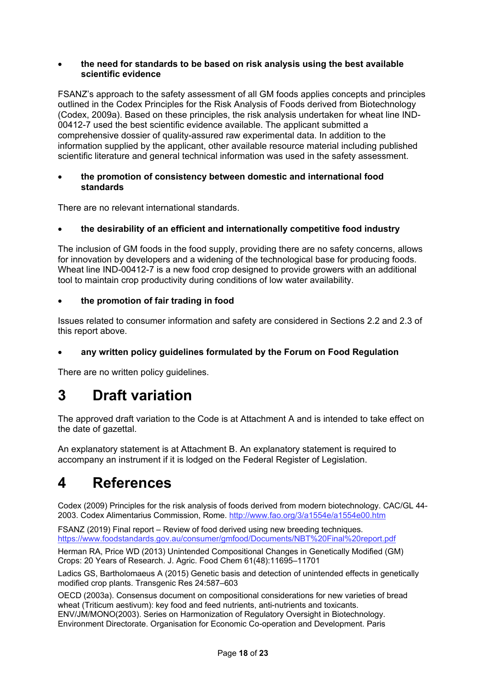#### **the need for standards to be based on risk analysis using the best available scientific evidence**

FSANZ's approach to the safety assessment of all GM foods applies concepts and principles outlined in the Codex Principles for the Risk Analysis of Foods derived from Biotechnology (Codex, 2009a). Based on these principles, the risk analysis undertaken for wheat line IND-00412-7 used the best scientific evidence available. The applicant submitted a comprehensive dossier of quality-assured raw experimental data. In addition to the information supplied by the applicant, other available resource material including published scientific literature and general technical information was used in the safety assessment.

#### **the promotion of consistency between domestic and international food standards**

There are no relevant international standards.

#### **the desirability of an efficient and internationally competitive food industry**

The inclusion of GM foods in the food supply, providing there are no safety concerns, allows for innovation by developers and a widening of the technological base for producing foods. Wheat line IND-00412-7 is a new food crop designed to provide growers with an additional tool to maintain crop productivity during conditions of low water availability.

#### **the promotion of fair trading in food**

Issues related to consumer information and safety are considered in Sections 2.2 and 2.3 of this report above.

#### **any written policy guidelines formulated by the Forum on Food Regulation**

There are no written policy guidelines.

# **3 Draft variation**

The approved draft variation to the Code is at Attachment A and is intended to take effect on the date of gazettal.

An explanatory statement is at Attachment B. An explanatory statement is required to accompany an instrument if it is lodged on the Federal Register of Legislation.

# **4 References**

Codex (2009) Principles for the risk analysis of foods derived from modern biotechnology. CAC/GL 44- 2003. Codex Alimentarius Commission, Rome. http://www.fao.org/3/a1554e/a1554e00.htm

FSANZ (2019) Final report – Review of food derived using new breeding techniques. https://www.foodstandards.gov.au/consumer/gmfood/Documents/NBT%20Final%20report.pdf

Herman RA, Price WD (2013) Unintended Compositional Changes in Genetically Modified (GM) Crops: 20 Years of Research. J. Agric. Food Chem 61(48):11695–11701

Ladics GS, Bartholomaeus A (2015) Genetic basis and detection of unintended effects in genetically modified crop plants. Transgenic Res 24:587–603

OECD (2003a). Consensus document on compositional considerations for new varieties of bread wheat (Triticum aestivum): key food and feed nutrients, anti-nutrients and toxicants. ENV/JM/MONO(2003). Series on Harmonization of Regulatory Oversight in Biotechnology. Environment Directorate. Organisation for Economic Co-operation and Development. Paris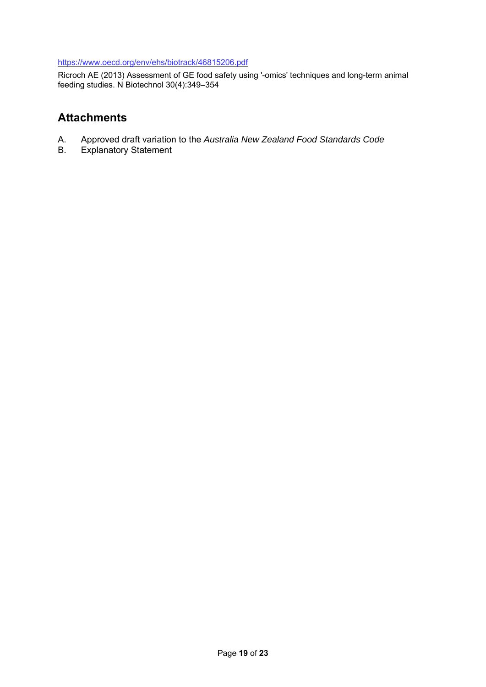#### https://www.oecd.org/env/ehs/biotrack/46815206.pdf

Ricroch AE (2013) Assessment of GE food safety using '-omics' techniques and long-term animal feeding studies. N Biotechnol 30(4):349–354

## **Attachments**

- A. Approved draft variation to the *Australia New Zealand Food Standards Code*
- **Explanatory Statement**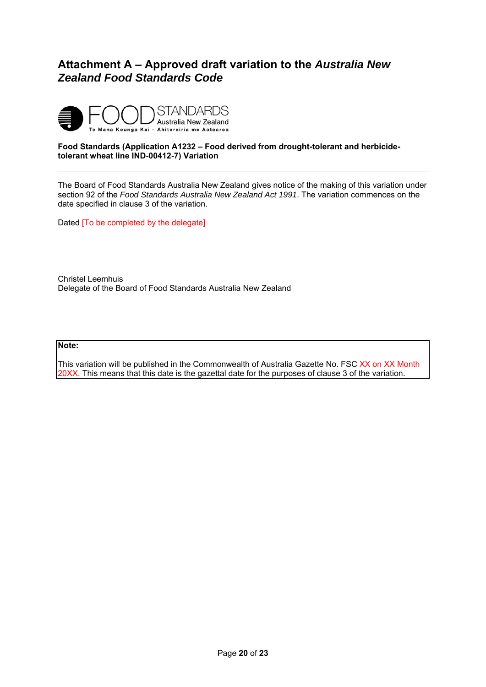## **Attachment A – Approved draft variation to the** *Australia New Zealand Food Standards Code*



#### **Food Standards (Application A1232 – Food derived from drought-tolerant and herbicidetolerant wheat line IND-00412-7) Variation**

The Board of Food Standards Australia New Zealand gives notice of the making of this variation under section 92 of the *Food Standards Australia New Zealand Act 1991*. The variation commences on the date specified in clause 3 of the variation.

Dated [To be completed by the delegate]

Christel Leemhuis Delegate of the Board of Food Standards Australia New Zealand

#### **Note:**

This variation will be published in the Commonwealth of Australia Gazette No. FSC XX on XX Month 20XX. This means that this date is the gazettal date for the purposes of clause 3 of the variation.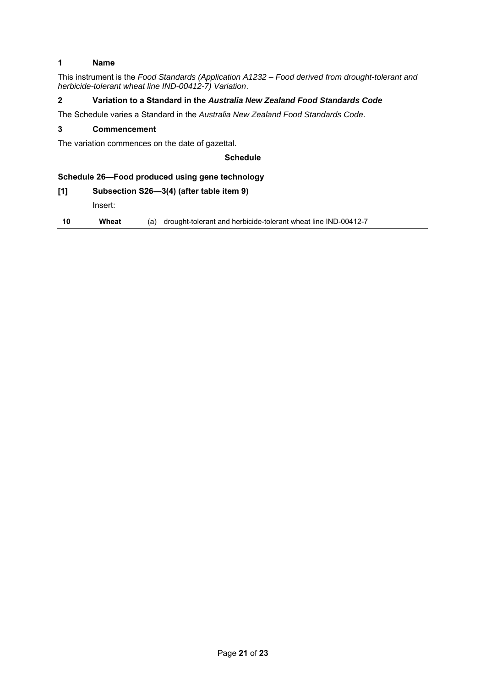#### **1 Name**

This instrument is the *Food Standards (Application A1232 – Food derived from drought-tolerant and herbicide-tolerant wheat line IND-00412-7) Variation*.

#### **2 Variation to a Standard in the** *Australia New Zealand Food Standards Code*

The Schedule varies a Standard in the *Australia New Zealand Food Standards Code*.

#### **3 Commencement**

The variation commences on the date of gazettal.

#### **Schedule**

#### **Schedule 26—Food produced using gene technology**

#### **[1] Subsection S26—3(4) (after table item 9)**

Insert:

**10 Wheat** (a) drought-tolerant and herbicide-tolerant wheat line IND-00412-7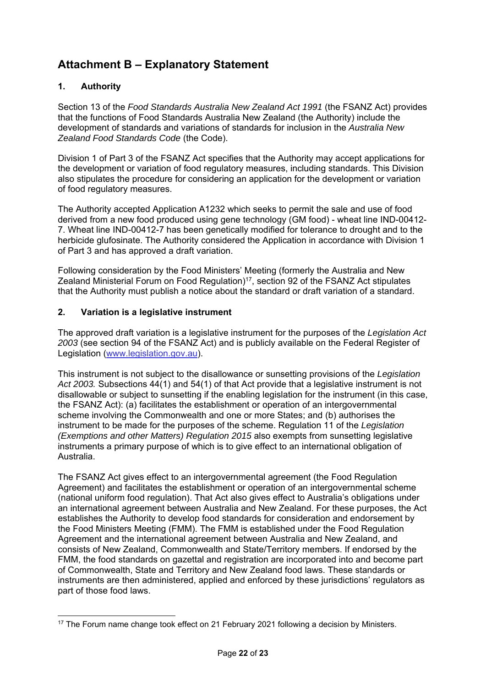# **Attachment B – Explanatory Statement**

## **1. Authority**

Section 13 of the *Food Standards Australia New Zealand Act 1991* (the FSANZ Act) provides that the functions of Food Standards Australia New Zealand (the Authority) include the development of standards and variations of standards for inclusion in the *Australia New Zealand Food Standards Code* (the Code).

Division 1 of Part 3 of the FSANZ Act specifies that the Authority may accept applications for the development or variation of food regulatory measures, including standards. This Division also stipulates the procedure for considering an application for the development or variation of food regulatory measures.

The Authority accepted Application A1232 which seeks to permit the sale and use of food derived from a new food produced using gene technology (GM food) - wheat line IND-00412- 7. Wheat line IND-00412-7 has been genetically modified for tolerance to drought and to the herbicide glufosinate. The Authority considered the Application in accordance with Division 1 of Part 3 and has approved a draft variation.

Following consideration by the Food Ministers' Meeting (formerly the Australia and New Zealand Ministerial Forum on Food Regulation)<sup>17</sup>, section 92 of the FSANZ Act stipulates that the Authority must publish a notice about the standard or draft variation of a standard.

### **2. Variation is a legislative instrument**

The approved draft variation is a legislative instrument for the purposes of the *Legislation Act 2003* (see section 94 of the FSANZ Act) and is publicly available on the Federal Register of Legislation (www.legislation.gov.au).

This instrument is not subject to the disallowance or sunsetting provisions of the *Legislation Act 2003.* Subsections 44(1) and 54(1) of that Act provide that a legislative instrument is not disallowable or subject to sunsetting if the enabling legislation for the instrument (in this case, the FSANZ Act): (a) facilitates the establishment or operation of an intergovernmental scheme involving the Commonwealth and one or more States; and (b) authorises the instrument to be made for the purposes of the scheme. Regulation 11 of the *Legislation (Exemptions and other Matters) Regulation 2015* also exempts from sunsetting legislative instruments a primary purpose of which is to give effect to an international obligation of Australia.

The FSANZ Act gives effect to an intergovernmental agreement (the Food Regulation Agreement) and facilitates the establishment or operation of an intergovernmental scheme (national uniform food regulation). That Act also gives effect to Australia's obligations under an international agreement between Australia and New Zealand. For these purposes, the Act establishes the Authority to develop food standards for consideration and endorsement by the Food Ministers Meeting (FMM). The FMM is established under the Food Regulation Agreement and the international agreement between Australia and New Zealand, and consists of New Zealand, Commonwealth and State/Territory members. If endorsed by the FMM, the food standards on gazettal and registration are incorporated into and become part of Commonwealth, State and Territory and New Zealand food laws. These standards or instruments are then administered, applied and enforced by these jurisdictions' regulators as part of those food laws.

<sup>-</sup> $17$  The Forum name change took effect on 21 February 2021 following a decision by Ministers.